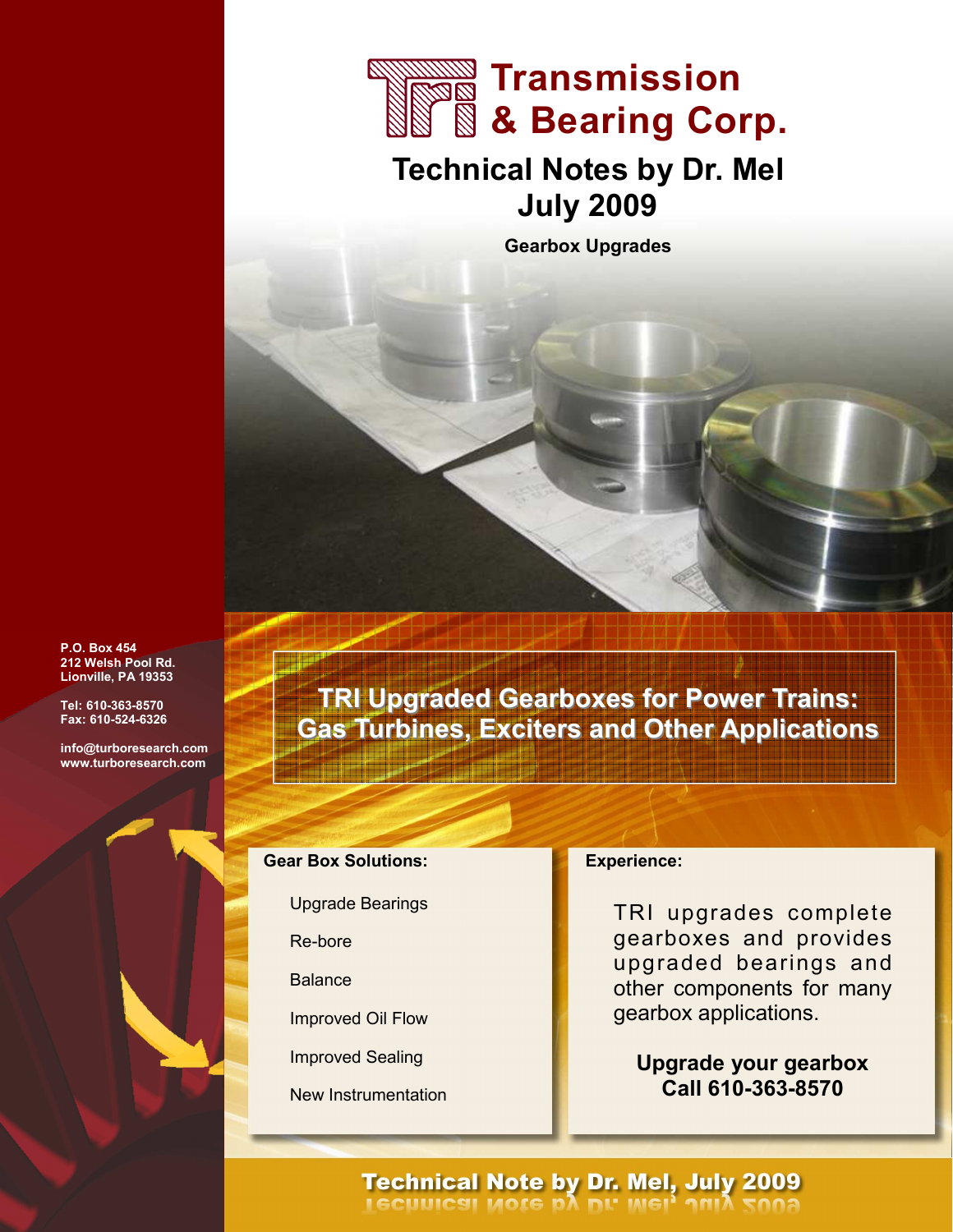

# Technical Notes by Dr. Mel July 2009

Gearbox Upgrades

P.O. Box 454 212 Welsh Pool Rd. Lionville, PA 19353

Tel: 610-363-8570 Fax: 610-524-6326

info@turboresearch.com www.turboresearch.com

TRI Upgraded Gearboxes for Power Trains: Gas Turbines, Exciters and Other Applications

## Gear Box Solutions:

Upgrade Bearings

Re-bore

**Balance** 

Improved Oil Flow

Improved Sealing

New Instrumentation

#### Experience:

TRI upgrades complete gearboxes and provides upgraded bearings and other components for many gearbox applications.

Upgrade your gearbox Call 610-363-8570

# **Technical Note by Dr. Mel, July 2009**<br>**I GCUUICSI MOTE DA DL' MEI<sup>1</sup> 1018 5008**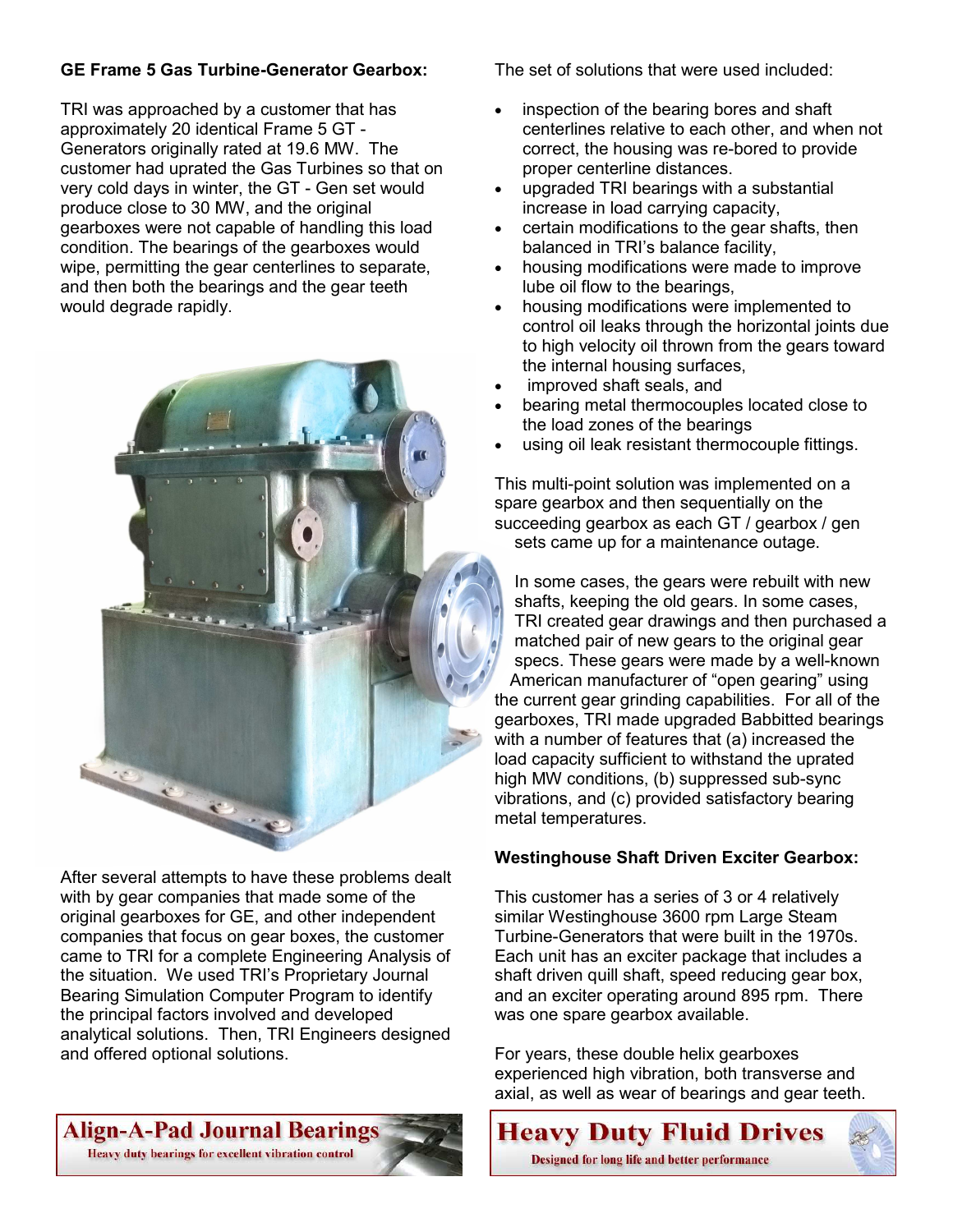# GE Frame 5 Gas Turbine-Generator Gearbox:

TRI was approached by a customer that has approximately 20 identical Frame 5 GT - Generators originally rated at 19.6 MW. The customer had uprated the Gas Turbines so that on very cold days in winter, the GT - Gen set would produce close to 30 MW, and the original gearboxes were not capable of handling this load condition. The bearings of the gearboxes would wipe, permitting the gear centerlines to separate, and then both the bearings and the gear teeth would degrade rapidly.



After several attempts to have these problems dealt with by gear companies that made some of the original gearboxes for GE, and other independent companies that focus on gear boxes, the customer came to TRI for a complete Engineering Analysis of the situation. We used TRI's Proprietary Journal Bearing Simulation Computer Program to identify the principal factors involved and developed analytical solutions. Then, TRI Engineers designed and offered optional solutions.

# Align-A-Pad Journal Bearings

Heavy duty bearings for excellent vibration control

The set of solutions that were used included:

- inspection of the bearing bores and shaft centerlines relative to each other, and when not correct, the housing was re-bored to provide proper centerline distances.
- upgraded TRI bearings with a substantial increase in load carrying capacity,
- certain modifications to the gear shafts, then balanced in TRI's balance facility,
- housing modifications were made to improve lube oil flow to the bearings,
- housing modifications were implemented to control oil leaks through the horizontal joints due to high velocity oil thrown from the gears toward the internal housing surfaces,
- improved shaft seals, and
- bearing metal thermocouples located close to the load zones of the bearings
- using oil leak resistant thermocouple fittings.

This multi-point solution was implemented on a spare gearbox and then sequentially on the succeeding gearbox as each GT / gearbox / gen sets came up for a maintenance outage.

In some cases, the gears were rebuilt with new shafts, keeping the old gears. In some cases, TRI created gear drawings and then purchased a matched pair of new gears to the original gear specs. These gears were made by a well-known American manufacturer of "open gearing" using the current gear grinding capabilities. For all of the gearboxes, TRI made upgraded Babbitted bearings with a number of features that (a) increased the load capacity sufficient to withstand the uprated high MW conditions, (b) suppressed sub-sync vibrations, and (c) provided satisfactory bearing metal temperatures.

#### Westinghouse Shaft Driven Exciter Gearbox:

This customer has a series of 3 or 4 relatively similar Westinghouse 3600 rpm Large Steam Turbine-Generators that were built in the 1970s. Each unit has an exciter package that includes a shaft driven quill shaft, speed reducing gear box, and an exciter operating around 895 rpm. There was one spare gearbox available.

For years, these double helix gearboxes experienced high vibration, both transverse and axial, as well as wear of bearings and gear teeth.

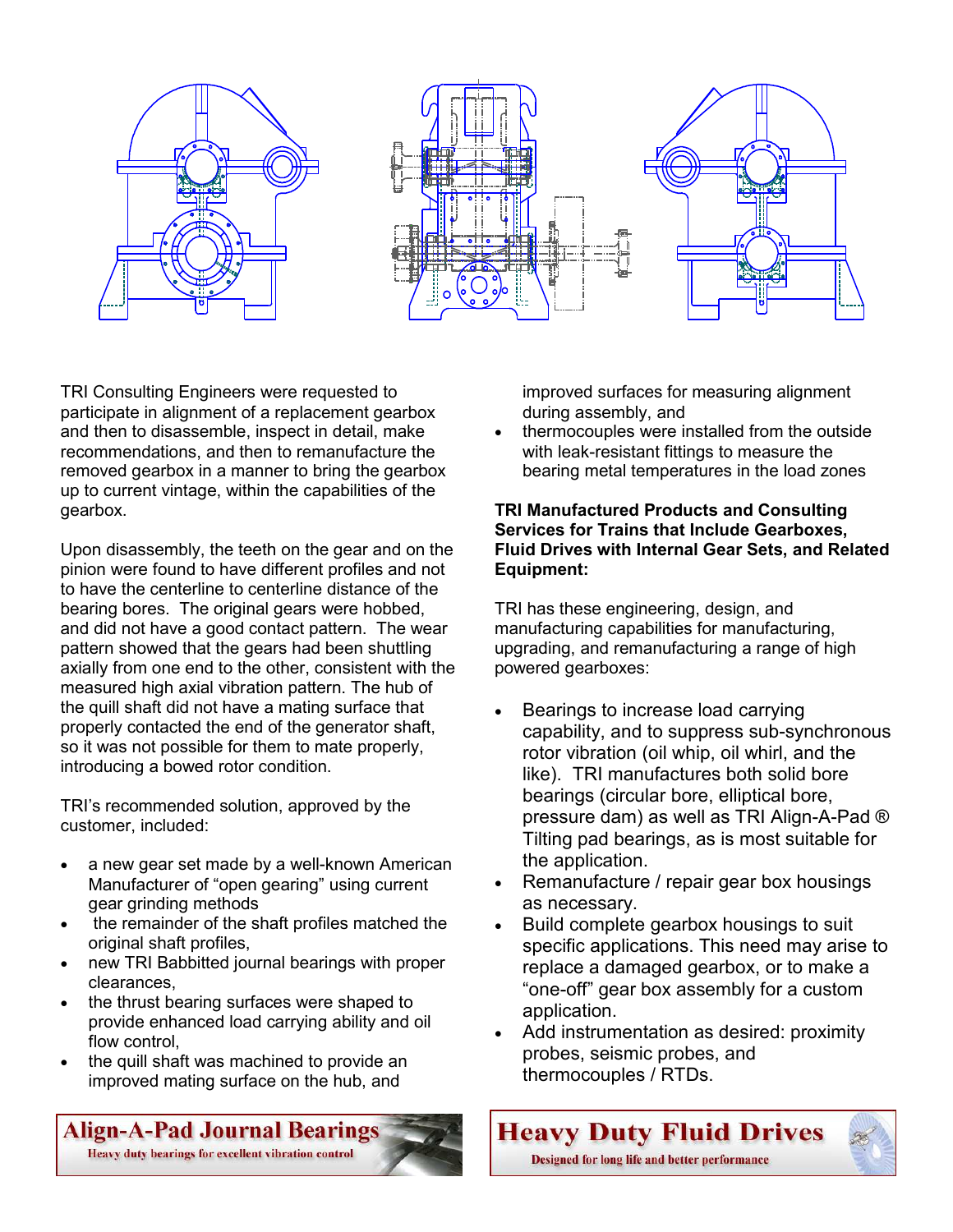

TRI Consulting Engineers were requested to participate in alignment of a replacement gearbox and then to disassemble, inspect in detail, make recommendations, and then to remanufacture the removed gearbox in a manner to bring the gearbox up to current vintage, within the capabilities of the gearbox.

Upon disassembly, the teeth on the gear and on the pinion were found to have different profiles and not to have the centerline to centerline distance of the bearing bores. The original gears were hobbed, and did not have a good contact pattern. The wear pattern showed that the gears had been shuttling axially from one end to the other, consistent with the measured high axial vibration pattern. The hub of the quill shaft did not have a mating surface that properly contacted the end of the generator shaft, so it was not possible for them to mate properly, introducing a bowed rotor condition.

TRI's recommended solution, approved by the customer, included:

- a new gear set made by a well-known American Manufacturer of "open gearing" using current gear grinding methods
- the remainder of the shaft profiles matched the original shaft profiles,
- new TRI Babbitted journal bearings with proper clearances,
- the thrust bearing surfaces were shaped to provide enhanced load carrying ability and oil flow control,
- the quill shaft was machined to provide an improved mating surface on the hub, and

Align-A-Pad Journal Bearings

Heavy duty bearings for excellent vibration control

improved surfaces for measuring alignment during assembly, and

• thermocouples were installed from the outside with leak-resistant fittings to measure the bearing metal temperatures in the load zones

#### TRI Manufactured Products and Consulting Services for Trains that Include Gearboxes, Fluid Drives with Internal Gear Sets, and Related Equipment:

TRI has these engineering, design, and manufacturing capabilities for manufacturing, upgrading, and remanufacturing a range of high powered gearboxes:

- Bearings to increase load carrying capability, and to suppress sub-synchronous rotor vibration (oil whip, oil whirl, and the like). TRI manufactures both solid bore bearings (circular bore, elliptical bore, pressure dam) as well as TRI Align-A-Pad ® Tilting pad bearings, as is most suitable for the application.
- Remanufacture / repair gear box housings as necessary.
- Build complete gearbox housings to suit specific applications. This need may arise to replace a damaged gearbox, or to make a "one-off" gear box assembly for a custom application.
- Add instrumentation as desired: proximity probes, seismic probes, and thermocouples / RTDs.